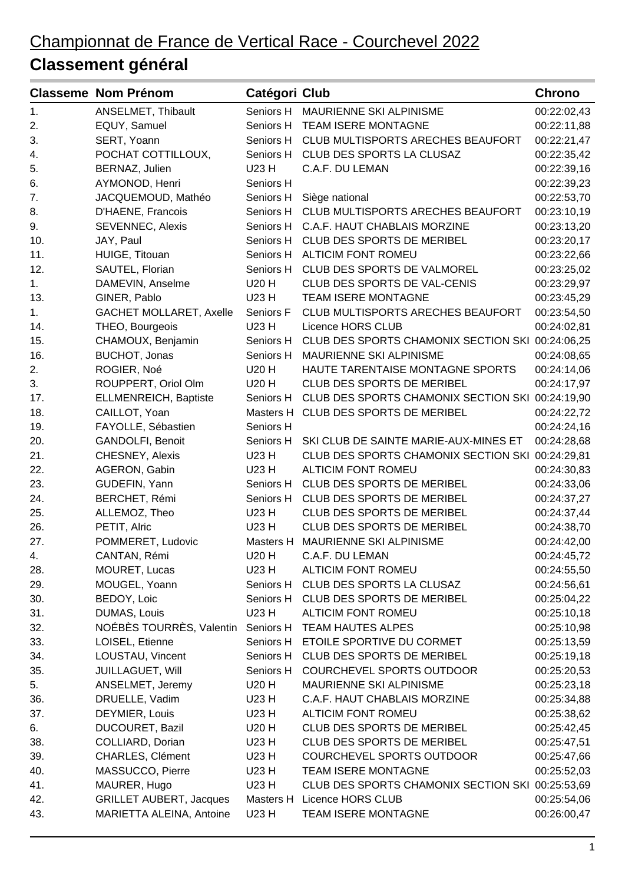# Championnat de France de Vertical Race - Courchevel 2022

## **Classement général**

|     | <b>Classeme Nom Prénom</b>     | Catégori Club |                                                  | <b>Chrono</b> |
|-----|--------------------------------|---------------|--------------------------------------------------|---------------|
| 1.  | ANSELMET, Thibault             | Seniors H     | MAURIENNE SKI ALPINISME                          | 00:22:02,43   |
| 2.  | EQUY, Samuel                   | Seniors H     | TEAM ISERE MONTAGNE                              | 00:22:11,88   |
| 3.  | SERT, Yoann                    | Seniors H     | CLUB MULTISPORTS ARECHES BEAUFORT                | 00:22:21,47   |
| 4.  | POCHAT COTTILLOUX,             | Seniors H     | CLUB DES SPORTS LA CLUSAZ                        | 00:22:35,42   |
| 5.  | BERNAZ, Julien                 | U23 H         | C.A.F. DU LEMAN                                  | 00:22:39,16   |
| 6.  | AYMONOD, Henri                 | Seniors H     |                                                  | 00:22:39,23   |
| 7.  | JACQUEMOUD, Mathéo             | Seniors H     | Siège national                                   | 00:22:53,70   |
| 8.  | D'HAENE, Francois              | Seniors H     | CLUB MULTISPORTS ARECHES BEAUFORT                | 00:23:10,19   |
| 9.  | SEVENNEC, Alexis               | Seniors H     | C.A.F. HAUT CHABLAIS MORZINE                     | 00:23:13,20   |
| 10. | JAY, Paul                      | Seniors H     | CLUB DES SPORTS DE MERIBEL                       | 00:23:20,17   |
| 11. | HUIGE, Titouan                 | Seniors H     | <b>ALTICIM FONT ROMEU</b>                        | 00:23:22,66   |
| 12. | SAUTEL, Florian                | Seniors H     | CLUB DES SPORTS DE VALMOREL                      | 00:23:25,02   |
| 1.  | DAMEVIN, Anselme               | U20 H         | CLUB DES SPORTS DE VAL-CENIS                     | 00:23:29,97   |
| 13. | GINER, Pablo                   | U23 H         | <b>TEAM ISERE MONTAGNE</b>                       | 00:23:45,29   |
| 1.  | <b>GACHET MOLLARET, Axelle</b> | Seniors F     | CLUB MULTISPORTS ARECHES BEAUFORT                | 00:23:54,50   |
| 14. | THEO, Bourgeois                | U23 H         | Licence HORS CLUB                                | 00:24:02,81   |
| 15. | CHAMOUX, Benjamin              | Seniors H     | CLUB DES SPORTS CHAMONIX SECTION SKI             | 00:24:06,25   |
| 16. | BUCHOT, Jonas                  | Seniors H     | MAURIENNE SKI ALPINISME                          | 00:24:08,65   |
| 2.  | ROGIER, Noé                    | U20 H         | HAUTE TARENTAISE MONTAGNE SPORTS                 | 00:24:14,06   |
| 3.  | ROUPPERT, Oriol Olm            | <b>U20 H</b>  | <b>CLUB DES SPORTS DE MERIBEL</b>                | 00:24:17,97   |
| 17. | ELLMENREICH, Baptiste          | Seniors H     | CLUB DES SPORTS CHAMONIX SECTION SKI             | 00:24:19,90   |
| 18. | CAILLOT, Yoan                  | Masters H     | CLUB DES SPORTS DE MERIBEL                       | 00:24:22,72   |
| 19. | FAYOLLE, Sébastien             | Seniors H     |                                                  | 00:24:24,16   |
| 20. | GANDOLFI, Benoit               | Seniors H     | SKI CLUB DE SAINTE MARIE-AUX-MINES ET            | 00:24:28,68   |
| 21. | CHESNEY, Alexis                | U23 H         | CLUB DES SPORTS CHAMONIX SECTION SKI             | 00:24:29,81   |
| 22. | AGERON, Gabin                  | U23 H         | <b>ALTICIM FONT ROMEU</b>                        | 00:24:30,83   |
| 23. | GUDEFIN, Yann                  | Seniors H     | CLUB DES SPORTS DE MERIBEL                       | 00:24:33,06   |
| 24. | BERCHET, Rémi                  | Seniors H     | CLUB DES SPORTS DE MERIBEL                       | 00:24:37,27   |
| 25. | ALLEMOZ, Theo                  | U23 H         | CLUB DES SPORTS DE MERIBEL                       | 00:24:37,44   |
| 26. | PETIT, Alric                   | U23 H         | CLUB DES SPORTS DE MERIBEL                       | 00:24:38,70   |
| 27. | POMMERET, Ludovic              | Masters H     | MAURIENNE SKI ALPINISME                          | 00:24:42,00   |
| 4.  | CANTAN, Rémi                   | U20 H         | C.A.F. DU LEMAN                                  | 00:24:45,72   |
| 28. | MOURET, Lucas                  | U23 H         | ALTICIM FONT ROMEU                               | 00:24:55,50   |
| 29. | MOUGEL, Yoann                  | Seniors H     | CLUB DES SPORTS LA CLUSAZ                        | 00:24:56,61   |
| 30. | BEDOY, Loic                    | Seniors H     | CLUB DES SPORTS DE MERIBEL                       | 00:25:04,22   |
| 31. | DUMAS, Louis                   | U23 H         | <b>ALTICIM FONT ROMEU</b>                        | 00:25:10,18   |
| 32. | NOÉBÈS TOURRÈS, Valentin       | Seniors H     | <b>TEAM HAUTES ALPES</b>                         | 00:25:10,98   |
| 33. | LOISEL, Etienne                | Seniors H     | ETOILE SPORTIVE DU CORMET                        | 00:25:13,59   |
| 34. | LOUSTAU, Vincent               | Seniors H     | CLUB DES SPORTS DE MERIBEL                       | 00:25:19,18   |
| 35. | JUILLAGUET, Will               | Seniors H     | COURCHEVEL SPORTS OUTDOOR                        | 00:25:20,53   |
| 5.  | ANSELMET, Jeremy               | U20 H         | MAURIENNE SKI ALPINISME                          | 00:25:23,18   |
| 36. | DRUELLE, Vadim                 | U23 H         | C.A.F. HAUT CHABLAIS MORZINE                     | 00:25:34,88   |
| 37. | DEYMIER, Louis                 | U23 H         | <b>ALTICIM FONT ROMEU</b>                        | 00:25:38,62   |
| 6.  | <b>DUCOURET, Bazil</b>         | U20 H         | <b>CLUB DES SPORTS DE MERIBEL</b>                | 00:25:42,45   |
| 38. | COLLIARD, Dorian               | U23 H         | <b>CLUB DES SPORTS DE MERIBEL</b>                | 00:25:47,51   |
| 39. | CHARLES, Clément               | U23 H         | COURCHEVEL SPORTS OUTDOOR                        | 00:25:47,66   |
| 40. | MASSUCCO, Pierre               | U23 H         | <b>TEAM ISERE MONTAGNE</b>                       | 00:25:52,03   |
| 41. | MAURER, Hugo                   | U23 H         | CLUB DES SPORTS CHAMONIX SECTION SKI 00:25:53,69 |               |
| 42. | <b>GRILLET AUBERT, Jacques</b> | Masters H     | Licence HORS CLUB                                | 00:25:54,06   |
| 43. | MARIETTA ALEINA, Antoine       | U23 H         | <b>TEAM ISERE MONTAGNE</b>                       | 00:26:00,47   |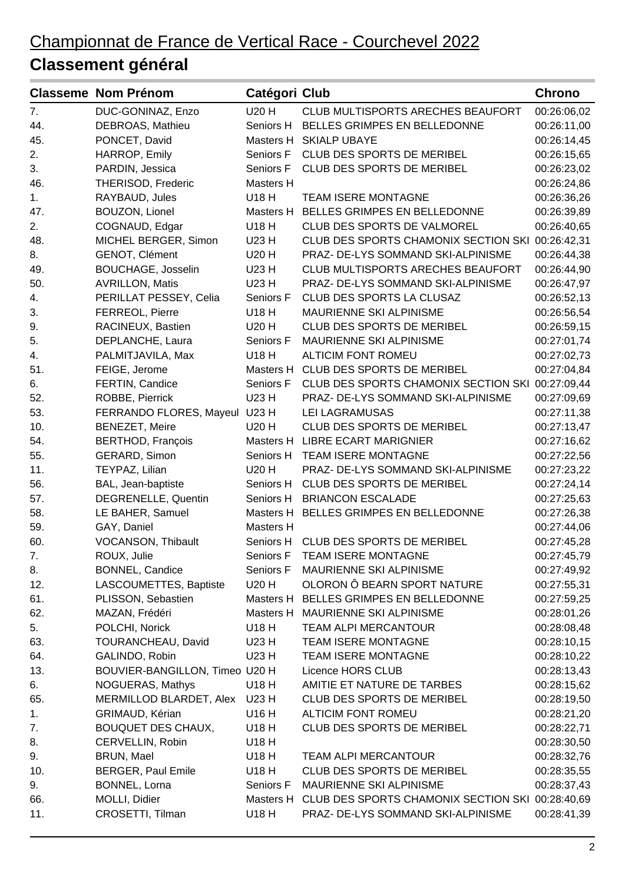## **Classement général**

|     | <b>Classeme Nom Prénom</b>     | Catégori Club |                                                  | <b>Chrono</b> |
|-----|--------------------------------|---------------|--------------------------------------------------|---------------|
| 7.  | DUC-GONINAZ, Enzo              | U20 H         | CLUB MULTISPORTS ARECHES BEAUFORT                | 00:26:06,02   |
| 44. | DEBROAS, Mathieu               | Seniors H     | BELLES GRIMPES EN BELLEDONNE                     | 00:26:11,00   |
| 45. | PONCET, David                  | Masters H     | <b>SKIALP UBAYE</b>                              | 00:26:14,45   |
| 2.  | HARROP, Emily                  | Seniors F     | CLUB DES SPORTS DE MERIBEL                       | 00:26:15,65   |
| 3.  | PARDIN, Jessica                | Seniors F     | CLUB DES SPORTS DE MERIBEL                       | 00:26:23,02   |
| 46. | THERISOD, Frederic             | Masters H     |                                                  | 00:26:24,86   |
| 1.  | RAYBAUD, Jules                 | U18 H         | <b>TEAM ISERE MONTAGNE</b>                       | 00:26:36,26   |
| 47. | BOUZON, Lionel                 | Masters H     | BELLES GRIMPES EN BELLEDONNE                     | 00:26:39,89   |
| 2.  | COGNAUD, Edgar                 | U18 H         | CLUB DES SPORTS DE VALMOREL                      | 00:26:40,65   |
| 48. | MICHEL BERGER, Simon           | U23 H         | CLUB DES SPORTS CHAMONIX SECTION SKI             | 00:26:42,31   |
| 8.  | GENOT, Clément                 | U20 H         | PRAZ- DE-LYS SOMMAND SKI-ALPINISME               | 00:26:44,38   |
| 49. | <b>BOUCHAGE, Josselin</b>      | U23 H         | <b>CLUB MULTISPORTS ARECHES BEAUFORT</b>         | 00:26:44,90   |
| 50. | <b>AVRILLON, Matis</b>         | U23 H         | PRAZ- DE-LYS SOMMAND SKI-ALPINISME               | 00:26:47,97   |
| 4.  | PERILLAT PESSEY, Celia         | Seniors F     | CLUB DES SPORTS LA CLUSAZ                        | 00:26:52,13   |
| 3.  | FERREOL, Pierre                | U18 H         | MAURIENNE SKI ALPINISME                          | 00:26:56,54   |
| 9.  | RACINEUX, Bastien              | U20 H         | CLUB DES SPORTS DE MERIBEL                       | 00:26:59,15   |
| 5.  | DEPLANCHE, Laura               | Seniors F     | MAURIENNE SKI ALPINISME                          | 00:27:01,74   |
| 4.  | PALMITJAVILA, Max              | U18 H         | <b>ALTICIM FONT ROMEU</b>                        | 00:27:02,73   |
| 51. | FEIGE, Jerome                  | Masters H     | CLUB DES SPORTS DE MERIBEL                       | 00:27:04,84   |
| 6.  | FERTIN, Candice                | Seniors F     | CLUB DES SPORTS CHAMONIX SECTION SKI             | 00:27:09,44   |
| 52. | ROBBE, Pierrick                | U23 H         | PRAZ- DE-LYS SOMMAND SKI-ALPINISME               | 00:27:09,69   |
| 53. | FERRANDO FLORES, Mayeul        | U23 H         | LEI LAGRAMUSAS                                   | 00:27:11,38   |
| 10. | <b>BENEZET, Meire</b>          | U20 H         | CLUB DES SPORTS DE MERIBEL                       | 00:27:13,47   |
| 54. | <b>BERTHOD, François</b>       | Masters H     | <b>LIBRE ECART MARIGNIER</b>                     | 00:27:16,62   |
| 55. | GERARD, Simon                  | Seniors H     | TEAM ISERE MONTAGNE                              | 00:27:22,56   |
| 11. | TEYPAZ, Lilian                 | U20 H         | PRAZ- DE-LYS SOMMAND SKI-ALPINISME               | 00:27:23,22   |
| 56. | BAL, Jean-baptiste             | Seniors H     | CLUB DES SPORTS DE MERIBEL                       | 00:27:24,14   |
| 57. | DEGRENELLE, Quentin            | Seniors H     | <b>BRIANCON ESCALADE</b>                         | 00:27:25,63   |
| 58. | LE BAHER, Samuel               | Masters H     | BELLES GRIMPES EN BELLEDONNE                     | 00:27:26,38   |
| 59. | GAY, Daniel                    | Masters H     |                                                  | 00:27:44,06   |
| 60. | VOCANSON, Thibault             | Seniors H     | CLUB DES SPORTS DE MERIBEL                       | 00:27:45,28   |
| 7.  | ROUX, Julie                    |               | Seniors F TEAM ISERE MONTAGNE                    | 00:27:45,79   |
| 8.  | BONNEL, Candice                | Seniors F     | MAURIENNE SKI ALPINISME                          | 00:27:49,92   |
| 12. | LASCOUMETTES, Baptiste         | U20 H         | OLORON Ô BEARN SPORT NATURE                      | 00:27:55,31   |
| 61. | PLISSON, Sebastien             | Masters H     | BELLES GRIMPES EN BELLEDONNE                     | 00:27:59,25   |
| 62. | MAZAN, Frédéri                 | Masters H     | MAURIENNE SKI ALPINISME                          | 00:28:01,26   |
| 5.  | POLCHI, Norick                 | U18 H         | <b>TEAM ALPI MERCANTOUR</b>                      | 00:28:08,48   |
| 63. | TOURANCHEAU, David             | U23 H         | <b>TEAM ISERE MONTAGNE</b>                       | 00:28:10,15   |
| 64. | GALINDO, Robin                 | U23 H         | <b>TEAM ISERE MONTAGNE</b>                       | 00:28:10,22   |
| 13. | BOUVIER-BANGILLON, Timeo U20 H |               | Licence HORS CLUB                                | 00:28:13,43   |
| 6.  | NOGUERAS, Mathys               | U18 H         | AMITIE ET NATURE DE TARBES                       | 00:28:15,62   |
| 65. | MERMILLOD BLARDET, Alex        | U23 H         | CLUB DES SPORTS DE MERIBEL                       | 00:28:19,50   |
| 1.  | GRIMAUD, Kérian                | U16 H         | <b>ALTICIM FONT ROMEU</b>                        | 00:28:21,20   |
| 7.  | <b>BOUQUET DES CHAUX,</b>      | U18 H         | CLUB DES SPORTS DE MERIBEL                       | 00:28:22,71   |
| 8.  | CERVELLIN, Robin               | U18 H         |                                                  | 00:28:30,50   |
| 9.  | <b>BRUN, Mael</b>              | U18 H         | <b>TEAM ALPI MERCANTOUR</b>                      | 00:28:32,76   |
| 10. | <b>BERGER, Paul Emile</b>      | U18 H         | <b>CLUB DES SPORTS DE MERIBEL</b>                | 00:28:35,55   |
| 9.  | BONNEL, Lorna                  | Seniors F     | MAURIENNE SKI ALPINISME                          | 00:28:37,43   |
| 66. | MOLLI, Didier                  | Masters H     | CLUB DES SPORTS CHAMONIX SECTION SKI 00:28:40,69 |               |
| 11. | CROSETTI, Tilman               | U18 H         | PRAZ- DE-LYS SOMMAND SKI-ALPINISME               | 00:28:41,39   |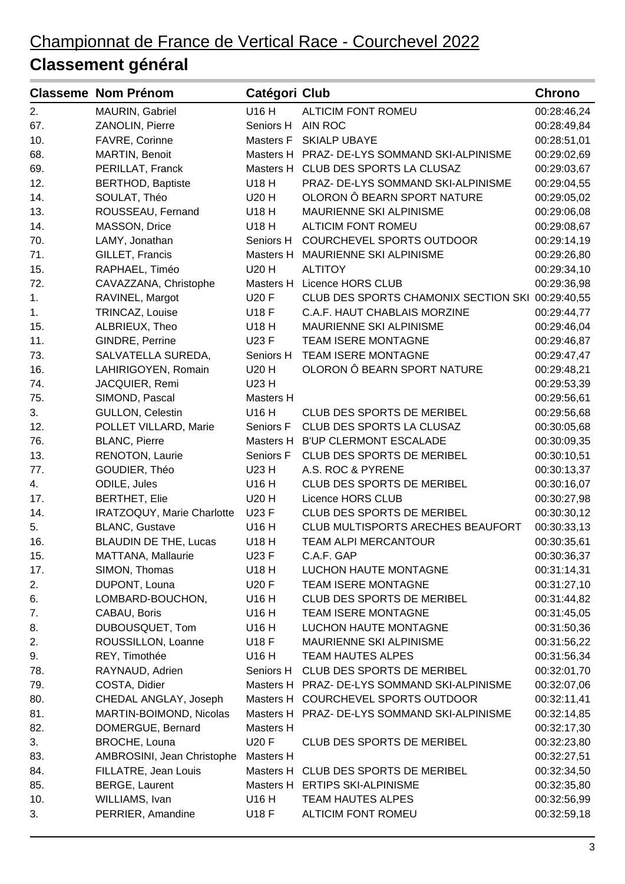#### **Classement général**

|     | <b>Classeme Nom Prénom</b>   | Catégori Club |                                                  | <b>Chrono</b> |
|-----|------------------------------|---------------|--------------------------------------------------|---------------|
| 2.  | MAURIN, Gabriel              | U16H          | <b>ALTICIM FONT ROMEU</b>                        | 00:28:46,24   |
| 67. | ZANOLIN, Pierre              | Seniors H     | <b>AIN ROC</b>                                   | 00:28:49,84   |
| 10. | FAVRE, Corinne               | Masters F     | <b>SKIALP UBAYE</b>                              | 00:28:51,01   |
| 68. | MARTIN, Benoit               |               | Masters H PRAZ- DE-LYS SOMMAND SKI-ALPINISME     | 00:29:02,69   |
| 69. | PERILLAT, Franck             | Masters H     | CLUB DES SPORTS LA CLUSAZ                        | 00:29:03,67   |
| 12. | <b>BERTHOD, Baptiste</b>     | U18 H         | PRAZ- DE-LYS SOMMAND SKI-ALPINISME               | 00:29:04,55   |
| 14. | SOULAT, Théo                 | U20 H         | OLORON Ô BEARN SPORT NATURE                      | 00:29:05,02   |
| 13. | ROUSSEAU, Fernand            | U18 H         | MAURIENNE SKI ALPINISME                          | 00:29:06,08   |
| 14. | MASSON, Drice                | U18 H         | <b>ALTICIM FONT ROMEU</b>                        | 00:29:08,67   |
| 70. | LAMY, Jonathan               | Seniors H     | COURCHEVEL SPORTS OUTDOOR                        | 00:29:14,19   |
| 71. | GILLET, Francis              |               | Masters H MAURIENNE SKI ALPINISME                | 00:29:26,80   |
| 15. | RAPHAEL, Timéo               | U20 H         | <b>ALTITOY</b>                                   | 00:29:34,10   |
| 72. | CAVAZZANA, Christophe        | Masters H     | Licence HORS CLUB                                | 00:29:36,98   |
| 1.  | RAVINEL, Margot              | <b>U20 F</b>  | CLUB DES SPORTS CHAMONIX SECTION SKI 00:29:40,55 |               |
| 1.  | TRINCAZ, Louise              | <b>U18 F</b>  | C.A.F. HAUT CHABLAIS MORZINE                     | 00:29:44,77   |
| 15. | ALBRIEUX, Theo               | U18 H         | MAURIENNE SKI ALPINISME                          | 00:29:46,04   |
| 11. | GINDRE, Perrine              | U23 F         | TEAM ISERE MONTAGNE                              | 00:29:46,87   |
| 73. | SALVATELLA SUREDA,           | Seniors H     | <b>TEAM ISERE MONTAGNE</b>                       | 00:29:47,47   |
| 16. | LAHIRIGOYEN, Romain          | U20 H         | OLORON Ô BEARN SPORT NATURE                      | 00:29:48,21   |
| 74. | JACQUIER, Remi               | U23 H         |                                                  | 00:29:53,39   |
| 75. | SIMOND, Pascal               | Masters H     |                                                  | 00:29:56,61   |
| 3.  | GULLON, Celestin             | U16 H         | <b>CLUB DES SPORTS DE MERIBEL</b>                | 00:29:56,68   |
| 12. | POLLET VILLARD, Marie        | Seniors F     | CLUB DES SPORTS LA CLUSAZ                        | 00:30:05,68   |
| 76. | <b>BLANC, Pierre</b>         | Masters H     | <b>B'UP CLERMONT ESCALADE</b>                    | 00:30:09,35   |
| 13. | RENOTON, Laurie              | Seniors F     | <b>CLUB DES SPORTS DE MERIBEL</b>                | 00:30:10,51   |
| 77. | GOUDIER, Théo                | U23 H         | A.S. ROC & PYRENE                                | 00:30:13,37   |
| 4.  | ODILE, Jules                 | U16 H         | <b>CLUB DES SPORTS DE MERIBEL</b>                | 00:30:16,07   |
| 17. | <b>BERTHET, Elie</b>         | U20 H         | Licence HORS CLUB                                | 00:30:27,98   |
| 14. | IRATZOQUY, Marie Charlotte   | <b>U23 F</b>  | CLUB DES SPORTS DE MERIBEL                       | 00:30:30,12   |
| 5.  | <b>BLANC, Gustave</b>        | U16 H         | CLUB MULTISPORTS ARECHES BEAUFORT                | 00:30:33,13   |
| 16. | <b>BLAUDIN DE THE, Lucas</b> | U18 H         | <b>TEAM ALPI MERCANTOUR</b>                      | 00:30:35,61   |
| 15. | MATTANA, Mallaurie           | <b>U23 F</b>  | C.A.F. GAP                                       | 00:30:36,37   |
| 17. | SIMON, Thomas                | U18 H         | LUCHON HAUTE MONTAGNE                            | 00:31:14,31   |
| 2.  | DUPONT, Louna                | <b>U20 F</b>  | <b>TEAM ISERE MONTAGNE</b>                       | 00:31:27,10   |
| 6.  | LOMBARD-BOUCHON,             | U16 H         | <b>CLUB DES SPORTS DE MERIBEL</b>                | 00:31:44,82   |
| 7.  | CABAU, Boris                 | U16 H         | <b>TEAM ISERE MONTAGNE</b>                       | 00:31:45,05   |
| 8.  | DUBOUSQUET, Tom              | U16 H         | LUCHON HAUTE MONTAGNE                            | 00:31:50,36   |
| 2.  | ROUSSILLON, Loanne           | U18 F         | MAURIENNE SKI ALPINISME                          | 00:31:56,22   |
| 9.  | REY, Timothée                | U16 H         | <b>TEAM HAUTES ALPES</b>                         | 00:31:56,34   |
| 78. | RAYNAUD, Adrien              | Seniors H     | CLUB DES SPORTS DE MERIBEL                       | 00:32:01,70   |
| 79. | COSTA, Didier                |               | Masters H PRAZ- DE-LYS SOMMAND SKI-ALPINISME     | 00:32:07,06   |
| 80. | CHEDAL ANGLAY, Joseph        |               | Masters H COURCHEVEL SPORTS OUTDOOR              | 00:32:11,41   |
| 81. | MARTIN-BOIMOND, Nicolas      |               | Masters H PRAZ- DE-LYS SOMMAND SKI-ALPINISME     | 00:32:14,85   |
| 82. | DOMERGUE, Bernard            | Masters H     |                                                  | 00:32:17,30   |
| 3.  | <b>BROCHE, Louna</b>         | <b>U20 F</b>  | CLUB DES SPORTS DE MERIBEL                       | 00:32:23,80   |
| 83. | AMBROSINI, Jean Christophe   | Masters H     |                                                  | 00:32:27,51   |
| 84. | FILLATRE, Jean Louis         |               | Masters H CLUB DES SPORTS DE MERIBEL             | 00:32:34,50   |
| 85. | <b>BERGE, Laurent</b>        |               | Masters H ERTIPS SKI-ALPINISME                   | 00:32:35,80   |
| 10. | WILLIAMS, Ivan               | U16 H         | TEAM HAUTES ALPES                                | 00:32:56,99   |
| 3.  | PERRIER, Amandine            | U18 F         | ALTICIM FONT ROMEU                               | 00:32:59,18   |